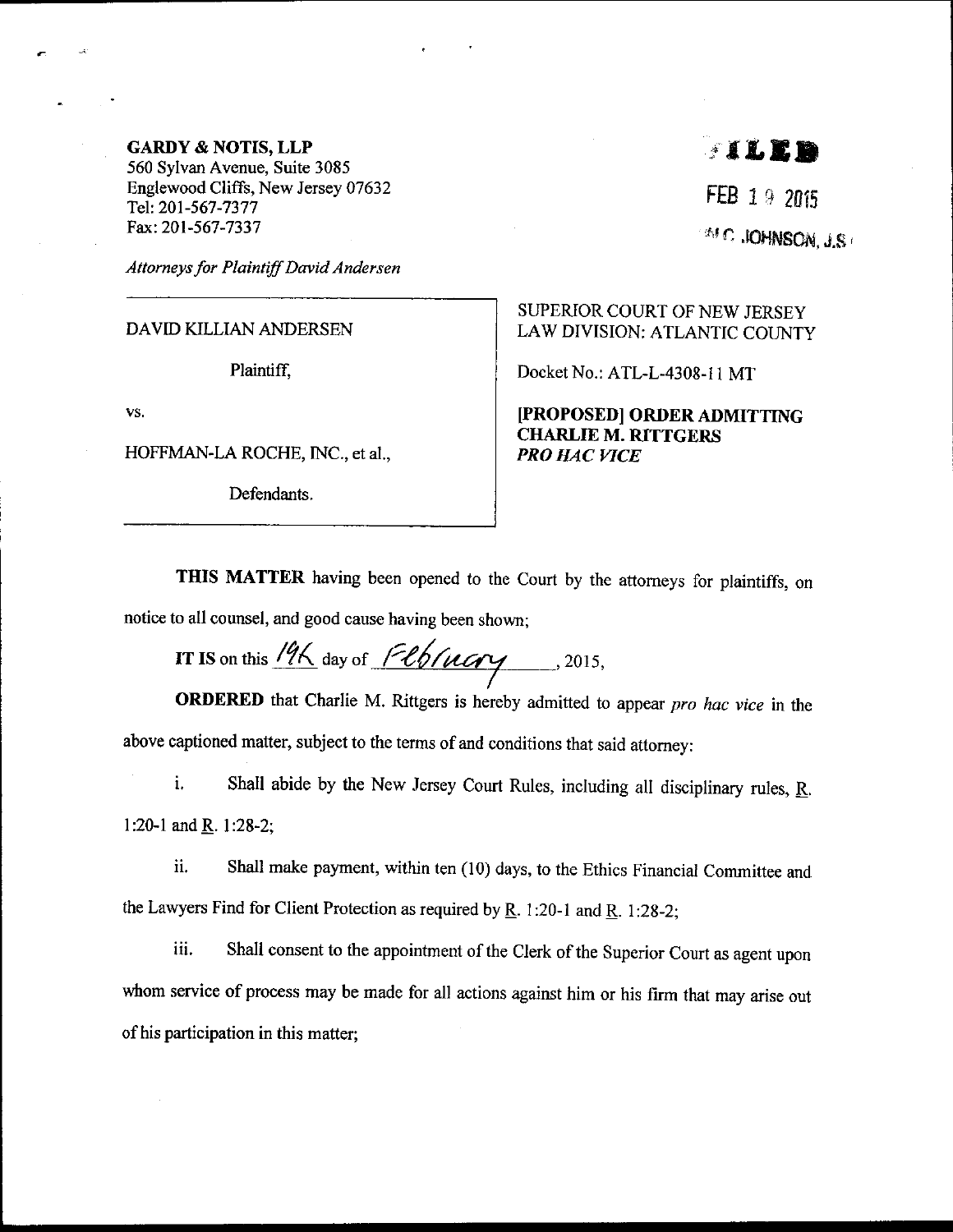## GARDY & NOTIS, LLP

560 Sylvan Avenue, Suite 3085 Englewood Cliffs, New Jersey 07632 Tel:201-567 -7377 Fax:201-567-7337

Attorneys for Plaintiff David Andersen

DAVID KILLIAN ANDERSEN

Plaintiff.

vs.

HOFFMAN-LA ROCHE, INC., et al.,

Defendants.

## $\blacksquare$  since  $\blacksquare$

FEB 19 2015  $^{2M}$ C. JOHNSON, J.S.

SUPERIOR COURT OF NEW JERSEY LAW DIVISION: ATLANTIC COUNTY

Docket No.: ATL-L-4308-I 1 MT

IPROPOSEDI ORDER ADMITTING CHARLIE M. RITTGERS PRO HAC VICE

THIS MATTER having been opened to the Court by the attorneys for plaintiffs, on notice to all counsel, and good cause having been shown;

IT IS on this  $\frac{196}{100}$  day of  $\frac{66}{100}$  (1000) . 2015,

ORDERED that Charlie M. Rittgers is hereby admitted to appear pro hac vice in the above captioned matter, subject to the terms of and conditions that said attorney:

i. Shall abide by the New Jersey Court Rules, including all disciplinary rules,  $\underline{R}$ . l:20-1 and R. 1:28-2;

ii. Shall make payment, within ten (10) days, to the Ethics Financial Committee and the Lawyers Find for Client Protection as required by  $\underline{R}$ . 1:20-1 and  $\underline{R}$ . 1:28-2;

iii. Shall consent to the appointment of the Clerk of the Superior Court as agent upon whom service of process may be made for all actions against him or his firm that may arise out of his participation in this matter;